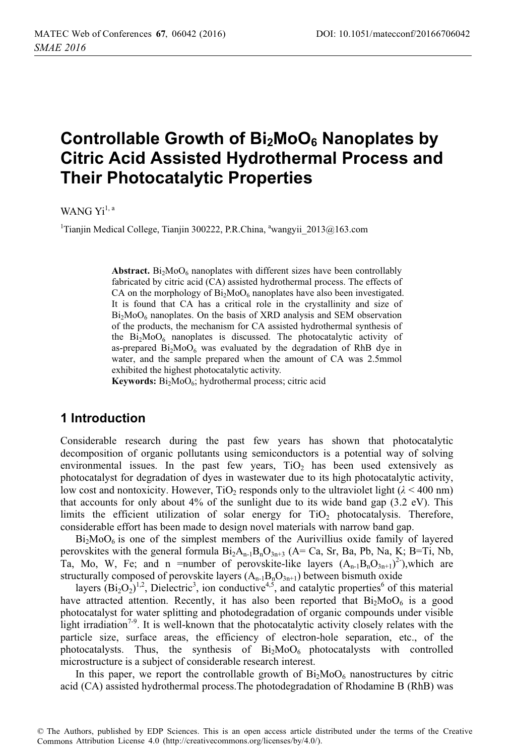# **Controllable Growth of Bi2MoO6 Nanoplates by Citric Acid Assisted Hydrothermal Process and Their Photocatalytic Properties**

WANG  $Yi^{1, a}$ 

<sup>1</sup>Tianjin Medical College, Tianjin 300222, P.R.China, <sup>a</sup>wangyii\_2013@163.com

**Abstract.**  $Bi<sub>2</sub>MoO<sub>6</sub>$  nanoplates with different sizes have been controllably fabricated by citric acid (CA) assisted hydrothermal process. The effects of CA on the morphology of  $Bi_2MoO_6$  nanoplates have also been investigated. It is found that CA has a critical role in the crystallinity and size of  $Bi<sub>2</sub>MoO<sub>6</sub>$  nanoplates. On the basis of XRD analysis and SEM observation of the products, the mechanism for CA assisted hydrothermal synthesis of the  $Bi<sub>2</sub>MoO<sub>6</sub>$  nanoplates is discussed. The photocatalytic activity of as-prepared  $Bi<sub>2</sub>MoO<sub>6</sub>$  was evaluated by the degradation of RhB dye in water, and the sample prepared when the amount of CA was 2.5mmol exhibited the highest photocatalytic activity.

Keywords: Bi<sub>2</sub>MoO<sub>6</sub>; hydrothermal process; citric acid

## **1 Introduction**

Considerable research during the past few years has shown that photocatalytic decomposition of organic pollutants using semiconductors is a potential way of solving environmental issues. In the past few years,  $TiO<sub>2</sub>$  has been used extensively as photocatalyst for degradation of dyes in wastewater due to its high photocatalytic activity, low cost and nontoxicity. However,  $TiO<sub>2</sub>$  responds only to the ultraviolet light ( $\lambda$  < 400 nm) that accounts for only about 4% of the sunlight due to its wide band gap (3.2 eV). This limits the efficient utilization of solar energy for  $TiO<sub>2</sub>$  photocatalysis. Therefore, considerable effort has been made to design novel materials with narrow band gap.

 $Bi<sub>2</sub>MoO<sub>6</sub>$  is one of the simplest members of the Aurivillius oxide family of layered perovskites with the general formula  $Bi_2A_{n-1}B_nO_{3n+3}$  (A= Ca, Sr, Ba, Pb, Na, K; B=Ti, Nb, Ta, Mo, W, Fe; and n = number of perovskite-like layers  $(A_{n-1}B_nO_{3n+1})^2$ ), which are structurally composed of perovskite layers  $(A_{n-1}B_nO_{3n+1})$  between bismuth oxide

layers  $(Bi_2O_2)^{1,2}$ , Dielectric<sup>3</sup>, ion conductive<sup>4,5</sup>, and catalytic properties<sup>6</sup> of this material have attracted attention. Recently, it has also been reported that  $Bi<sub>2</sub>MoO<sub>6</sub>$  is a good photocatalyst for water splitting and photodegradation of organic compounds under visible light irradiation<sup>7-9</sup>. It is well-known that the photocatalytic activity closely relates with the particle size, surface areas, the efficiency of electron-hole separation, etc., of the photocatalysts. Thus, the synthesis of  $Bi<sub>2</sub>MoO<sub>6</sub>$  photocatalysts with controlled microstructure is a subject of considerable research interest.

In this paper, we report the controllable growth of  $Bi<sub>2</sub>MoO<sub>6</sub>$  nanostructures by citric acid (CA) assisted hydrothermal process.The photodegradation of Rhodamine B (RhB) was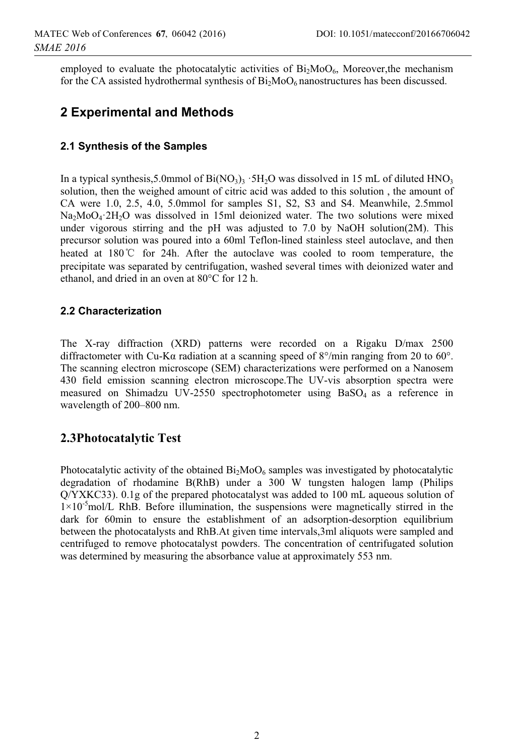employed to evaluate the photocatalytic activities of  $Bi<sub>2</sub>MoO<sub>6</sub>$ , Moreover, the mechanism for the CA assisted hydrothermal synthesis of  $Bi<sub>2</sub>MoO<sub>6</sub>$  nanostructures has been discussed.

# **2 Experimental and Methods**

#### **2.1 Synthesis of the Samples**

In a typical synthesis,5.0mmol of  $Bi(NO_3)$ <sub>3</sub> ·5H<sub>2</sub>O was dissolved in 15 mL of diluted HNO<sub>3</sub> solution, then the weighed amount of citric acid was added to this solution , the amount of CA were 1.0, 2.5, 4.0, 5.0mmol for samples S1, S2, S3 and S4. Meanwhile, 2.5mmol Na<sub>2</sub>MoO<sub>4</sub>·2H<sub>2</sub>O was dissolved in 15ml deionized water. The two solutions were mixed under vigorous stirring and the pH was adjusted to  $7.0$  by NaOH solution(2M). This precursor solution was poured into a 60ml Teflon-lined stainless steel autoclave, and then heated at 180°C for 24h. After the autoclave was cooled to room temperature, the precipitate was separated by centrifugation, washed several times with deionized water and ethanol, and dried in an oven at 80°C for 12 h.

#### **2.2 Characterization**

The X-ray diffraction (XRD) patterns were recorded on a Rigaku D/max 2500 diffractometer with Cu-K $\alpha$  radiation at a scanning speed of 8°/min ranging from 20 to 60°. The scanning electron microscope (SEM) characterizations were performed on a Nanosem 430 field emission scanning electron microscope.The UV-vis absorption spectra were measured on Shimadzu UV-2550 spectrophotometer using BaSO<sub>4</sub> as a reference in wavelength of 200–800 nm.

#### **2.3Photocatalytic Test**

Photocatalytic activity of the obtained  $Bi<sub>2</sub>MoO<sub>6</sub>$  samples was investigated by photocatalytic degradation of rhodamine B(RhB) under a 300 W tungsten halogen lamp (Philips Q/YXKC33). 0.1g of the prepared photocatalyst was added to 100 mL aqueous solution of  $1\times10^{-5}$  mol/L RhB. Before illumination, the suspensions were magnetically stirred in the dark for 60min to ensure the establishment of an adsorption-desorption equilibrium between the photocatalysts and RhB.At given time intervals,3ml aliquots were sampled and centrifuged to remove photocatalyst powders. The concentration of centrifugated solution was determined by measuring the absorbance value at approximately 553 nm.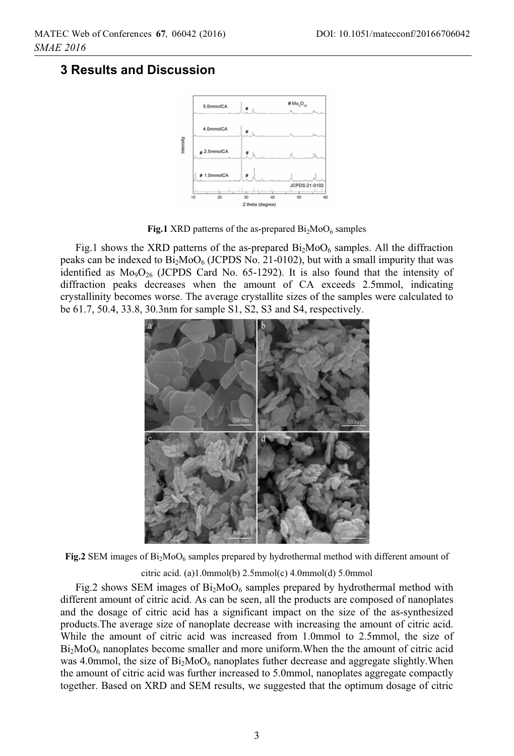## **3 Results and Discussion**



**Fig.1** XRD patterns of the as-prepared  $Bi<sub>2</sub>MoO<sub>6</sub>$  samples

Fig.1 shows the XRD patterns of the as-prepared  $Bi_2MoO<sub>6</sub>$  samples. All the diffraction peaks can be indexed to  $Bi<sub>2</sub>MoO<sub>6</sub>$  (JCPDS No. 21-0102), but with a small impurity that was identified as  $Mo<sub>9</sub>O<sub>26</sub>$  (JCPDS Card No. 65-1292). It is also found that the intensity of diffraction peaks decreases when the amount of CA exceeds 2.5mmol, indicating crystallinity becomes worse. The average crystallite sizes of the samples were calculated to be 61.7, 50.4, 33.8, 30.3nm for sample S1, S2, S3 and S4, respectively.



**Fig.2** SEM images of  $Bi_2Moo6$  samples prepared by hydrothermal method with different amount of

citric acid. (a)1.0mmol(b) 2.5mmol(c) 4.0mmol(d) 5.0mmol

Fig.2 shows SEM images of  $Bi_2MoO_6$  samples prepared by hydrothermal method with different amount of citric acid. As can be seen, all the products are composed of nanoplates and the dosage of citric acid has a significant impact on the size of the as-synthesized products.The average size of nanoplate decrease with increasing the amount of citric acid. While the amount of citric acid was increased from 1.0mmol to 2.5mmol, the size of  $Bi<sub>2</sub>MoO<sub>6</sub>$  nanoplates become smaller and more uniform. When the the amount of citric acid was 4.0mmol, the size of  $Bi<sub>2</sub>MoO<sub>6</sub>$  nanoplates futher decrease and aggregate slightly. When the amount of citric acid was further increased to 5.0mmol, nanoplates aggregate compactly together. Based on XRD and SEM results, we suggested that the optimum dosage of citric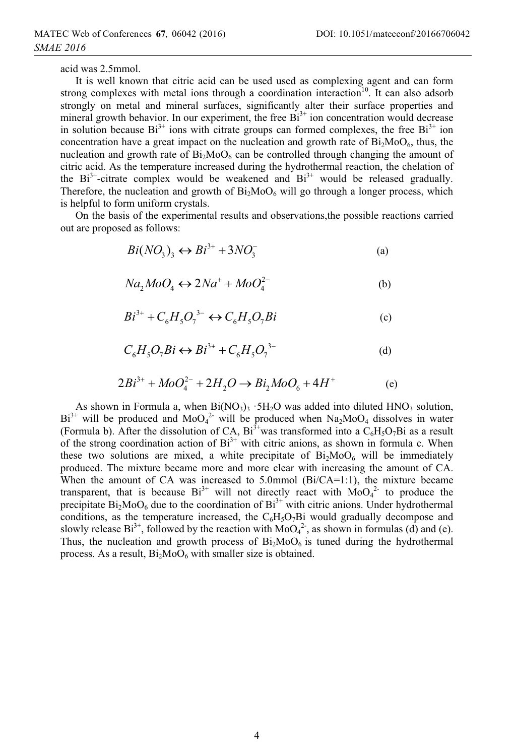acid was 2.5mmol.

It is well known that citric acid can be used used as complexing agent and can form strong complexes with metal ions through a coordination interaction<sup>10</sup>. It can also adsorb strongly on metal and mineral surfaces, significantly alter their surface properties and mineral growth behavior. In our experiment, the free  $Bi<sup>3+</sup>$  ion concentration would decrease in solution because  $Bi^{3+}$  ions with citrate groups can formed complexes, the free  $Bi^{3+}$  ion concentration have a great impact on the nucleation and growth rate of  $Bi_2MoO<sub>6</sub>$ , thus, the nucleation and growth rate of  $Bi_2MoO<sub>6</sub>$  can be controlled through changing the amount of citric acid. As the temperature increased during the hydrothermal reaction, the chelation of the  $Bi^{3+}$ -citrate complex would be weakened and  $Bi^{3+}$  would be released gradually. Therefore, the nucleation and growth of  $Bi_2MoO_6$  will go through a longer process, which is helpful to form uniform crystals.

On the basis of the experimental results and observations,the possible reactions carried out are proposed as follows:

$$
Bi(NO3)3 \leftrightarrow Bi3+ + 3NO3-
$$
 (a)

$$
Na_2MoO_4 \leftrightarrow 2Na^+ + MoO_4^{2-}
$$
 (b)

$$
Bi^{3+} + C_6 H_5 O_7^{3-} \leftrightarrow C_6 H_5 O_7 Bi \tag{c}
$$

$$
C_6H_5O_7Bi \leftrightarrow Bi^{3+} + C_6H_5O_7^{3-}
$$
 (d)

$$
2Bi^{3+} + MoO_4^{2-} + 2H_2O \to Bi_2MoO_6 + 4H^+ \tag{e}
$$

As shown in Formula a, when  $Bi(NO<sub>3</sub>)<sub>3</sub> \cdot 5H<sub>2</sub>O$  was added into diluted  $HNO<sub>3</sub>$  solution,  $Bi^{3+}$  will be produced and MoO<sub>4</sub><sup>2</sup> will be produced when Na<sub>2</sub>MoO<sub>4</sub> dissolves in water (Formula b). After the dissolution of CA,  $Bi^{3+}$  was transformed into a  $C_6H_5O_7Bi$  as a result of the strong coordination action of  $Bi<sup>3+</sup>$  with citric anions, as shown in formula c. When these two solutions are mixed, a white precipitate of  $Bi<sub>2</sub>MoO<sub>6</sub>$  will be immediately produced. The mixture became more and more clear with increasing the amount of CA. When the amount of CA was increased to 5.0mmol (Bi/CA=1:1), the mixture became transparent, that is because  $Bi^{3+}$  will not directly react with  $MoO<sub>4</sub><sup>2</sup>$  to produce the precipitate  $Bi<sub>2</sub>MoO<sub>6</sub>$  due to the coordination of  $Bi<sup>3+</sup>$  with citric anions. Under hydrothermal conditions, as the temperature increased, the  $C<sub>6</sub>H<sub>3</sub>O<sub>7</sub>Bi$  would gradually decompose and slowly release  $Bi^{3+}$ , followed by the reaction with  $MoO<sub>4</sub><sup>2</sup>$ , as shown in formulas (d) and (e). Thus, the nucleation and growth process of  $Bi_2MoO<sub>6</sub>$  is tuned during the hydrothermal process. As a result,  $Bi_2MoO_6$  with smaller size is obtained.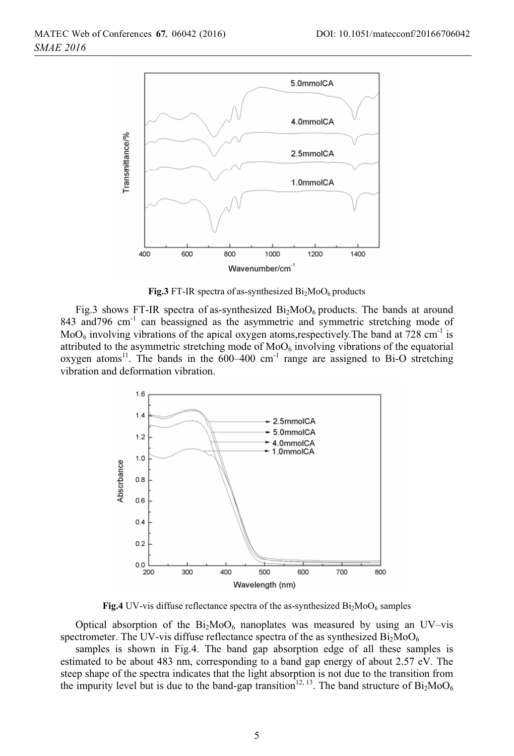

**Fig.3** FT-IR spectra of as-synthesized  $Bi<sub>2</sub>MoO<sub>6</sub>$  products

Fig.3 shows FT-IR spectra of as-synthesized  $Bi_2MoO<sub>6</sub>$  products. The bands at around 843 and796 cm<sup>-1</sup> can beassigned as the asymmetric and symmetric stretching mode of  $MO<sub>6</sub>$  involving vibrations of the apical oxygen atoms, respectively. The band at 728 cm<sup>-1</sup> is attributed to the asymmetric stretching mode of  $MO<sub>6</sub>$  involving vibrations of the equatorial oxygen atoms<sup>11</sup>. The bands in the  $600-400$  cm<sup>-1</sup> range are assigned to Bi-O stretching vibration and deformation vibration.



**Fig.4** UV-vis diffuse reflectance spectra of the as-synthesized  $Bi_2MoO_6$  samples

Optical absorption of the  $Bi<sub>2</sub>MoO<sub>6</sub>$  nanoplates was measured by using an UV–vis spectrometer. The UV-vis diffuse reflectance spectra of the as synthesized  $Bi<sub>2</sub>MoO<sub>6</sub>$ 

samples is shown in Fig.4. The band gap absorption edge of all these samples is estimated to be about 483 nm, corresponding to a band gap energy of about 2.57 eV. The steep shape of the spectra indicates that the light absorption is not due to the transition from the impurity level but is due to the band-gap transition<sup>12, 13</sup>. The band structure of  $Bi_2MoO_6$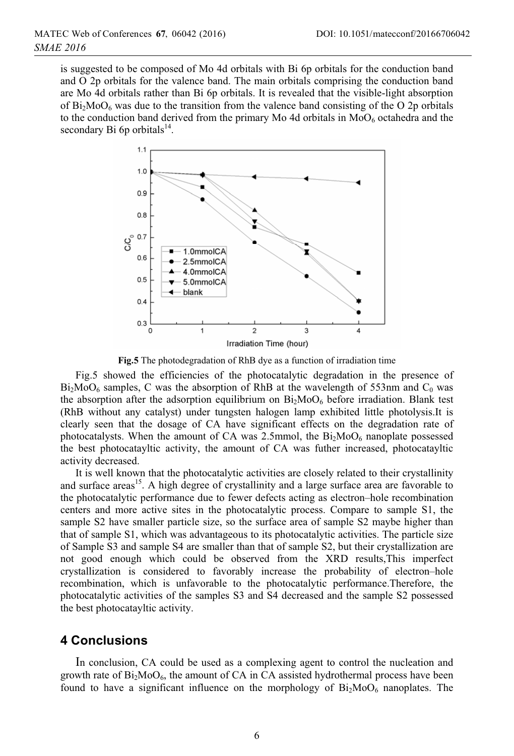is suggested to be composed of Mo 4d orbitals with Bi 6p orbitals for the conduction band and O 2p orbitals for the valence band. The main orbitals comprising the conduction band are Mo 4d orbitals rather than Bi 6p orbitals. It is revealed that the visible-light absorption of  $Bi<sub>2</sub>MoO<sub>6</sub>$  was due to the transition from the valence band consisting of the O 2p orbitals to the conduction band derived from the primary Mo 4d orbitals in  $MoO<sub>6</sub>$  octahedra and the secondary Bi 6p orbitals $^{14}$ .



**Fig.5** The photodegradation of RhB dye as a function of irradiation time

Fig.5 showed the efficiencies of the photocatalytic degradation in the presence of  $Bi<sub>2</sub>MoO<sub>6</sub>$  samples, C was the absorption of RhB at the wavelength of 553nm and  $C<sub>0</sub>$  was the absorption after the adsorption equilibrium on  $Bi<sub>2</sub>MoO<sub>6</sub>$  before irradiation. Blank test (RhB without any catalyst) under tungsten halogen lamp exhibited little photolysis.It is clearly seen that the dosage of CA have significant effects on the degradation rate of photocatalysts. When the amount of CA was 2.5mmol, the  $Bi<sub>2</sub>MoO<sub>6</sub>$  nanoplate possessed the best photocatayltic activity, the amount of CA was futher increased, photocatayltic activity decreased.

It is well known that the photocatalytic activities are closely related to their crystallinity and surface areas<sup>15</sup>. A high degree of crystallinity and a large surface area are favorable to the photocatalytic performance due to fewer defects acting as electron–hole recombination centers and more active sites in the photocatalytic process. Compare to sample S1, the sample S2 have smaller particle size, so the surface area of sample S2 maybe higher than that of sample S1, which was advantageous to its photocatalytic activities. The particle size of Sample S3 and sample S4 are smaller than that of sample S2, but their crystallization are not good enough which could be observed from the XRD results,This imperfect crystallization is considered to favorably increase the probability of electron–hole recombination, which is unfavorable to the photocatalytic performance.Therefore, the photocatalytic activities of the samples S3 and S4 decreased and the sample S2 possessed the best photocatayltic activity.

#### **4 Conclusions**

In conclusion, CA could be used as a complexing agent to control the nucleation and growth rate of  $Bi_2MoO_6$ , the amount of CA in CA assisted hydrothermal process have been found to have a significant influence on the morphology of  $Bi<sub>2</sub>MoO<sub>6</sub>$  nanoplates. The